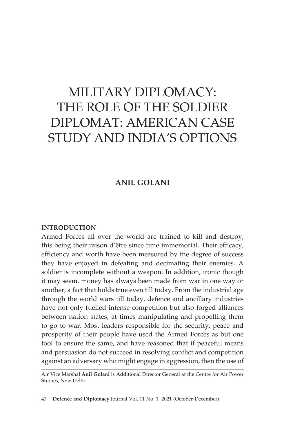# MILITARY DIPLOMACY: THE ROLE OF THE SOLDIER DIPLOMAT: AMERICAN CASE STUDY AND INDIA'S OPTIONS

## **ANIL GOLANI**

#### **INTRODUCTION**

Armed Forces all over the world are trained to kill and destroy, this being their raison d'être since time immemorial. Their efficacy, efficiency and worth have been measured by the degree of success they have enjoyed in defeating and decimating their enemies. A soldier is incomplete without a weapon. In addition, ironic though it may seem, money has always been made from war in one way or another, a fact that holds true even till today. From the industrial age through the world wars till today, defence and ancillary industries have not only fuelled intense competition but also forged alliances between nation states, at times manipulating and propelling them to go to war. Most leaders responsible for the security, peace and prosperity of their people have used the Armed Forces as but one tool to ensure the same, and have reasoned that if peaceful means and persuasion do not succeed in resolving conflict and competition against an adversary who might engage in aggression, then the use of

47 **Defence and Diplomacy** Journal Vol. 11 No. 1 2021 (October-December)

Air Vice Marshal **Anil Golani** is Additional Director General at the Centre for Air Power Studies, New Delhi.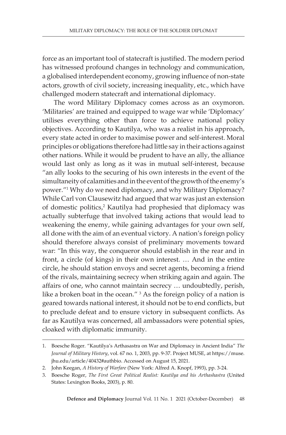force as an important tool of statecraft is justified. The modern period has witnessed profound changes in technology and communication, a globalised interdependent economy, growing influence of non-state actors, growth of civil society, increasing inequality, etc., which have challenged modern statecraft and international diplomacy.

The word Military Diplomacy comes across as an oxymoron. 'Militaries' are trained and equipped to wage war while 'Diplomacy' utilises everything other than force to achieve national policy objectives. According to Kautilya, who was a realist in his approach, every state acted in order to maximise power and self-interest. Moral principles or obligations therefore had little say in their actions against other nations. While it would be prudent to have an ally, the alliance would last only as long as it was in mutual self-interest, because "an ally looks to the securing of his own interests in the event of the simultaneity of calamities and in the event of the growth of the enemy's power."1 Why do we need diplomacy, and why Military Diplomacy? While Carl von Clausewitz had argued that war was just an extension of domestic politics,<sup>2</sup> Kautilya had prophesied that diplomacy was actually subterfuge that involved taking actions that would lead to weakening the enemy, while gaining advantages for your own self, all done with the aim of an eventual victory. A nation's foreign policy should therefore always consist of preliminary movements toward war: "In this way, the conqueror should establish in the rear and in front, a circle (of kings) in their own interest. … And in the entire circle, he should station envoys and secret agents, becoming a friend of the rivals, maintaining secrecy when striking again and again. The affairs of one, who cannot maintain secrecy … undoubtedly, perish, like a broken boat in the ocean."  $3$  As the foreign policy of a nation is geared towards national interest, it should not be to end conflicts, but to preclude defeat and to ensure victory in subsequent conflicts. As far as Kautilya was concerned, all ambassadors were potential spies, cloaked with diplomatic immunity.

<sup>1.</sup> Boesche Roger. "Kautilya's Arthasastra on War and Diplomacy in Ancient India" *The Journal of Military History*, vol. 67 no. 1, 2003, pp. 9-37. Project MUSE, at https://muse. jhu.edu/article/40432#authbio. Accessed on August 15, 2021.

<sup>2.</sup> John Keegan, *A History of Warfare* (New York: Alfred A. Knopf, 1993), pp. 3-24.

<sup>3.</sup> Boesche Roger, *The First Great Political Realist: Kautilya and his Arthashastra* (United States: Lexington Books, 2003), p. 80.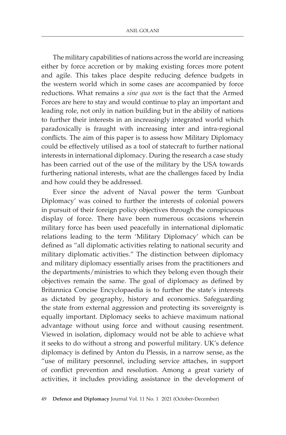The military capabilities of nations across the world are increasing either by force accretion or by making existing forces more potent and agile. This takes place despite reducing defence budgets in the western world which in some cases are accompanied by force reductions. What remains a *sine qua non* is the fact that the Armed Forces are here to stay and would continue to play an important and leading role, not only in nation building but in the ability of nations to further their interests in an increasingly integrated world which paradoxically is fraught with increasing inter and intra-regional conflicts. The aim of this paper is to assess how Military Diplomacy could be effectively utilised as a tool of statecraft to further national interests in international diplomacy. During the research a case study has been carried out of the use of the military by the USA towards furthering national interests, what are the challenges faced by India and how could they be addressed.

Ever since the advent of Naval power the term 'Gunboat Diplomacy' was coined to further the interests of colonial powers in pursuit of their foreign policy objectives through the conspicuous display of force. There have been numerous occasions wherein military force has been used peacefully in international diplomatic relations leading to the term 'Military Diplomacy' which can be defined as "all diplomatic activities relating to national security and military diplomatic activities." The distinction between diplomacy and military diplomacy essentially arises from the practitioners and the departments/ministries to which they belong even though their objectives remain the same. The goal of diplomacy as defined by Britannica Concise Encyclopaedia is to further the state's interests as dictated by geography, history and economics. Safeguarding the state from external aggression and protecting its sovereignty is equally important. Diplomacy seeks to achieve maximum national advantage without using force and without causing resentment. Viewed in isolation, diplomacy would not be able to achieve what it seeks to do without a strong and powerful military. UK's defence diplomacy is defined by Anton du Plessis, in a narrow sense, as the "use of military personnel, including service attaches, in support of conflict prevention and resolution. Among a great variety of activities, it includes providing assistance in the development of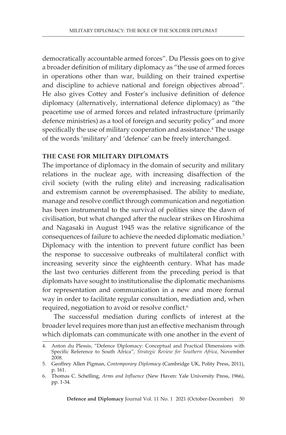democratically accountable armed forces". Du Plessis goes on to give a broader definition of military diplomacy as "the use of armed forces in operations other than war, building on their trained expertise and discipline to achieve national and foreign objectives abroad". He also gives Cottey and Foster's inclusive definition of defence diplomacy (alternatively, international defence diplomacy) as "the peacetime use of armed forces and related infrastructure (primarily defence ministries) as a tool of foreign and security policy" and more specifically the use of military cooperation and assistance.<sup>4</sup> The usage of the words 'military' and 'defence' can be freely interchanged.

#### **THE CASE FOR MILITARY DIPLOMATS**

The importance of diplomacy in the domain of security and military relations in the nuclear age, with increasing disaffection of the civil society (with the ruling elite) and increasing radicalisation and extremism cannot be overemphasised. The ability to mediate, manage and resolve conflict through communication and negotiation has been instrumental to the survival of polities since the dawn of civilisation, but what changed after the nuclear strikes on Hiroshima and Nagasaki in August 1945 was the relative significance of the consequences of failure to achieve the needed diplomatic mediation.5 Diplomacy with the intention to prevent future conflict has been the response to successive outbreaks of multilateral conflict with increasing severity since the eighteenth century. What has made the last two centuries different from the preceding period is that diplomats have sought to institutionalise the diplomatic mechanisms for representation and communication in a new and more formal way in order to facilitate regular consultation, mediation and, when required, negotiation to avoid or resolve conflict.<sup>6</sup>

The successful mediation during conflicts of interest at the broader level requires more than just an effective mechanism through which diplomats can communicate with one another in the event of

<sup>4.</sup> Anton du Plessis, "Defence Diplomacy: Conceptual and Practical Dimensions with Specific Reference to South Africa", *Strategic Review for Southern Africa*, November 2008.

<sup>5.</sup> Geoffrey Allen Pigman, *Contemporary Diplomacy* (Cambridge UK, Polity Press, 2011), p. 161.

<sup>6.</sup> Thomas C. Schelling, *Arms and Influence* (New Haven: Yale University Press, 1966), pp. 1-34.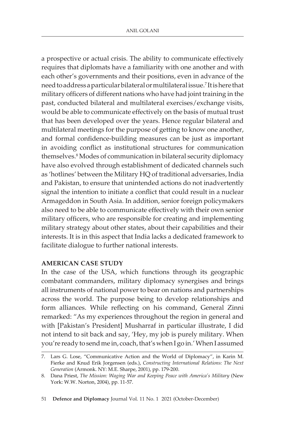a prospective or actual crisis. The ability to communicate effectively requires that diplomats have a familiarity with one another and with each other's governments and their positions, even in advance of the need to address a particular bilateral or multilateral issue.7 It is here that military officers of different nations who have had joint training in the past, conducted bilateral and multilateral exercises/exchange visits, would be able to communicate effectively on the basis of mutual trust that has been developed over the years. Hence regular bilateral and multilateral meetings for the purpose of getting to know one another, and formal confidence-building measures can be just as important in avoiding conflict as institutional structures for communication themselves.8 Modes of communication in bilateral security diplomacy have also evolved through establishment of dedicated channels such as 'hotlines' between the Military HQ of traditional adversaries, India and Pakistan, to ensure that unintended actions do not inadvertently signal the intention to initiate a conflict that could result in a nuclear Armageddon in South Asia. In addition, senior foreign policymakers also need to be able to communicate effectively with their own senior military officers, who are responsible for creating and implementing military strategy about other states, about their capabilities and their interests. It is in this aspect that India lacks a dedicated framework to facilitate dialogue to further national interests.

## **AMERICAN CASE STUDY**

In the case of the USA, which functions through its geographic combatant commanders, military diplomacy synergises and brings all instruments of national power to bear on nations and partnerships across the world. The purpose being to develop relationships and form alliances. While reflecting on his command, General Zinni remarked: "As my experiences throughout the region in general and with [Pakistan's President] Musharraf in particular illustrate, I did not intend to sit back and say, 'Hey, my job is purely military. When you're ready to send me in, coach, that's when I go in.' When I assumed

51 **Defence and Diplomacy** Journal Vol. 11 No. 1 2021 (October-December)

<sup>7.</sup> Lars G. Lose, "Communicative Action and the World of Diplomacy", in Karin M. Fierke and Knud Erik Jorgensen (eds.), *Constructing International Relations: The Next Generation* (Armonk. NY: M.E. Sharpe, 2001), pp. 179-200.

<sup>8.</sup> Dana Priest, *The Mission: Waging War and Keeping Peace with America's Military* (New York: W.W. Norton, 2004), pp. 11-57.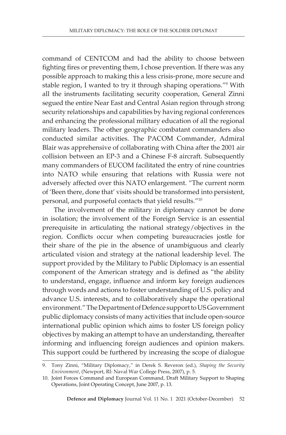command of CENTCOM and had the ability to choose between fighting fires or preventing them, I chose prevention. If there was any possible approach to making this a less crisis-prone, more secure and stable region, I wanted to try it through shaping operations."9 With all the instruments facilitating security cooperation, General Zinni segued the entire Near East and Central Asian region through strong security relationships and capabilities by having regional conferences and enhancing the professional military education of all the regional military leaders. The other geographic combatant commanders also conducted similar activities. The PACOM Commander, Admiral Blair was apprehensive of collaborating with China after the 2001 air collision between an EP-3 and a Chinese F-8 aircraft. Subsequently many commanders of EUCOM facilitated the entry of nine countries into NATO while ensuring that relations with Russia were not adversely affected over this NATO enlargement. "The current norm of 'Been there, done that' visits should be transformed into persistent, personal, and purposeful contacts that yield results."10

The involvement of the military in diplomacy cannot be done in isolation; the involvement of the Foreign Service is an essential prerequisite in articulating the national strategy/objectives in the region. Conflicts occur when competing bureaucracies jostle for their share of the pie in the absence of unambiguous and clearly articulated vision and strategy at the national leadership level. The support provided by the Military to Public Diplomacy is an essential component of the American strategy and is defined as "the ability to understand, engage, influence and inform key foreign audiences through words and actions to foster understanding of U.S. policy and advance U.S. interests, and to collaboratively shape the operational environment." The Department of Defence support to US Government public diplomacy consists of many activities that include open-source international public opinion which aims to foster US foreign policy objectives by making an attempt to have an understanding, thereafter informing and influencing foreign audiences and opinion makers. This support could be furthered by increasing the scope of dialogue

<sup>9.</sup> Tony Zinni, "Military Diplomacy," in Derek S. Reveron (ed.), *Shaping the Security Environment*, (Newport, RI: Naval War College Press, 2007), p. 5.

<sup>10.</sup> Joint Forces Command and European Command, Draft Military Support to Shaping Operations, Joint Operating Concept, June 2007, p. 13.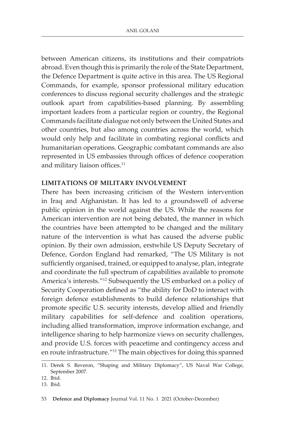between American citizens, its institutions and their compatriots abroad. Even though this is primarily the role of the State Department, the Defence Department is quite active in this area. The US Regional Commands, for example, sponsor professional military education conferences to discuss regional security challenges and the strategic outlook apart from capabilities-based planning. By assembling important leaders from a particular region or country, the Regional Commands facilitate dialogue not only between the United States and other countries, but also among countries across the world, which would only help and facilitate in combating regional conflicts and humanitarian operations. Geographic combatant commands are also represented in US embassies through offices of defence cooperation and military liaison offices.<sup>11</sup>

## **LIMITATIONS OF MILITARY INVOLVEMENT**

There has been increasing criticism of the Western intervention in Iraq and Afghanistan. It has led to a groundswell of adverse public opinion in the world against the US. While the reasons for American intervention are not being debated, the manner in which the countries have been attempted to be changed and the military nature of the intervention is what has caused the adverse public opinion. By their own admission, erstwhile US Deputy Secretary of Defence, Gordon England had remarked, "The US Military is not sufficiently organised, trained, or equipped to analyse, plan, integrate and coordinate the full spectrum of capabilities available to promote America's interests."12 Subsequently the US embarked on a policy of Security Cooperation defined as "the ability for DoD to interact with foreign defence establishments to build defence relationships that promote specific U.S. security interests, develop allied and friendly military capabilities for self-defence and coalition operations, including allied transformation, improve information exchange, and intelligence sharing to help harmonize views on security challenges, and provide U.S. forces with peacetime and contingency access and en route infrastructure."13 The main objectives for doing this spanned

<sup>11.</sup> Derek S. Reveron, "Shaping and Military Diplomacy", US Naval War College, September 2007.

<sup>12.</sup> Ibid.

<sup>13.</sup> Ibid.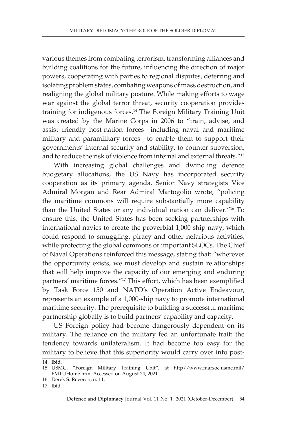various themes from combating terrorism, transforming alliances and building coalitions for the future, influencing the direction of major powers, cooperating with parties to regional disputes, deterring and isolating problem states, combating weapons of mass destruction, and realigning the global military posture. While making efforts to wage war against the global terror threat, security cooperation provides training for indigenous forces.14 The Foreign Military Training Unit was created by the Marine Corps in 2006 to "train, advise, and assist friendly host-nation forces—including naval and maritime military and paramilitary forces—to enable them to support their governments' internal security and stability, to counter subversion, and to reduce the risk of violence from internal and external threats."15

With increasing global challenges and dwindling defence budgetary allocations, the US Navy has incorporated security cooperation as its primary agenda. Senior Navy strategists Vice Admiral Morgan and Rear Admiral Martogolio wrote, "policing the maritime commons will require substantially more capability than the United States or any individual nation can deliver."16 To ensure this, the United States has been seeking partnerships with international navies to create the proverbial 1,000-ship navy, which could respond to smuggling, piracy and other nefarious activities, while protecting the global commons or important SLOCs. The Chief of Naval Operations reinforced this message, stating that: "wherever the opportunity exists, we must develop and sustain relationships that will help improve the capacity of our emerging and enduring partners' maritime forces."17 This effort, which has been exemplified by Task Force 150 and NATO's Operation Active Endeavour, represents an example of a 1,000-ship navy to promote international maritime security. The prerequisite to building a successful maritime partnership globally is to build partners' capability and capacity.

US Foreign policy had become dangerously dependent on its military. The reliance on the military fed an unfortunate trait: the tendency towards unilateralism. It had become too easy for the military to believe that this superiority would carry over into post-

<sup>14.</sup> Ibid.

<sup>15.</sup> USMC, "Foreign Military Training Unit", at http//www.marsoc.usmc.mil/ FMTUHome.htm. Accessed on August 24, 2021.

<sup>16.</sup> Derek S. Reveron, n. 11.

<sup>17.</sup> Ibid.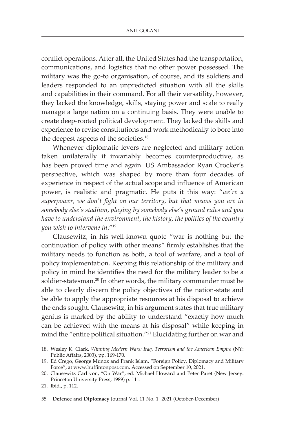conflict operations. After all, the United States had the transportation, communications, and logistics that no other power possessed. The military was the go-to organisation, of course, and its soldiers and leaders responded to an unpredicted situation with all the skills and capabilities in their command. For all their versatility, however, they lacked the knowledge, skills, staying power and scale to really manage a large nation on a continuing basis. They were unable to create deep-rooted political development. They lacked the skills and experience to revise constitutions and work methodically to bore into the deepest aspects of the societies.<sup>18</sup>

Whenever diplomatic levers are neglected and military action taken unilaterally it invariably becomes counterproductive, as has been proved time and again. US Ambassador Ryan Crocker's perspective, which was shaped by more than four decades of experience in respect of the actual scope and influence of American power, is realistic and pragmatic. He puts it this way: "*we're a superpower, we don't fight on our territory, but that means you are in somebody else's stadium, playing by somebody else's ground rules and you have to understand the environment, the history, the politics of the country you wish to intervene in*."19

Clausewitz, in his well-known quote "war is nothing but the continuation of policy with other means" firmly establishes that the military needs to function as both, a tool of warfare, and a tool of policy implementation. Keeping this relationship of the military and policy in mind he identifies the need for the military leader to be a soldier-statesman.20 In other words, the military commander must be able to clearly discern the policy objectives of the nation-state and be able to apply the appropriate resources at his disposal to achieve the ends sought. Clausewitz, in his argument states that true military genius is marked by the ability to understand "exactly how much can be achieved with the means at his disposal" while keeping in mind the "entire political situation."21 Elucidating further on war and

55 **Defence and Diplomacy** Journal Vol. 11 No. 1 2021 (October-December)

<sup>18.</sup> Wesley K. Clark, *Winning Modern Wars: Iraq, Terrorism and the American Empire* (NY: Public Affairs, 2003), pp. 169-170.

<sup>19.</sup> Ed Crego, George Munoz and Frank Islam, "Foreign Policy, Diplomacy and Military Force", at www.huffintonpost.com. Accessed on September 10, 2021.

<sup>20.</sup> Clausewitz Carl von, "On War", ed. Michael Howard and Peter Paret (New Jersey: Princeton University Press, 1989) p. 111.

<sup>21.</sup> Ibid., p. 112.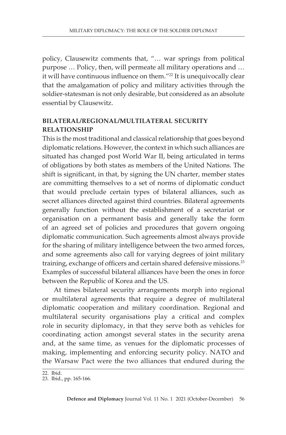policy, Clausewitz comments that, "… war springs from political purpose … Policy, then, will permeate all military operations and … it will have continuous influence on them."<sup>22</sup> It is unequivocally clear that the amalgamation of policy and military activities through the soldier-statesman is not only desirable, but considered as an absolute essential by Clausewitz.

# **BILATERAL/REGIONAL/MULTILATERAL SECURITY RELATIONSHIP**

This is the most traditional and classical relationship that goes beyond diplomatic relations. However, the context in which such alliances are situated has changed post World War II, being articulated in terms of obligations by both states as members of the United Nations. The shift is significant, in that, by signing the UN charter, member states are committing themselves to a set of norms of diplomatic conduct that would preclude certain types of bilateral alliances, such as secret alliances directed against third countries. Bilateral agreements generally function without the establishment of a secretariat or organisation on a permanent basis and generally take the form of an agreed set of policies and procedures that govern ongoing diplomatic communication. Such agreements almost always provide for the sharing of military intelligence between the two armed forces, and some agreements also call for varying degrees of joint military training, exchange of officers and certain shared defensive missions.<sup>23</sup> Examples of successful bilateral alliances have been the ones in force between the Republic of Korea and the US.

At times bilateral security arrangements morph into regional or multilateral agreements that require a degree of multilateral diplomatic cooperation and military coordination. Regional and multilateral security organisations play a critical and complex role in security diplomacy, in that they serve both as vehicles for coordinating action amongst several states in the security arena and, at the same time, as venues for the diplomatic processes of making, implementing and enforcing security policy. NATO and the Warsaw Pact were the two alliances that endured during the

<sup>22.</sup> Ibid.

<sup>23.</sup> Ibid., pp. 165-166.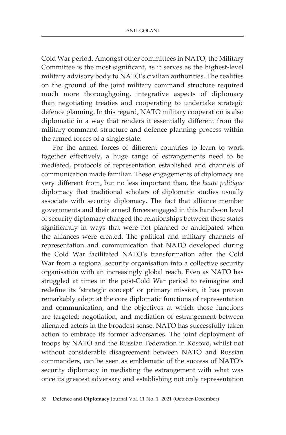Cold War period. Amongst other committees in NATO, the Military Committee is the most significant, as it serves as the highest-level military advisory body to NATO's civilian authorities. The realities on the ground of the joint military command structure required much more thoroughgoing, integrative aspects of diplomacy than negotiating treaties and cooperating to undertake strategic defence planning. In this regard, NATO military cooperation is also diplomatic in a way that renders it essentially different from the military command structure and defence planning process within the armed forces of a single state.

For the armed forces of different countries to learn to work together effectively, a huge range of estrangements need to be mediated, protocols of representation established and channels of communication made familiar. These engagements of diplomacy are very different from, but no less important than, the *haute politique* diplomacy that traditional scholars of diplomatic studies usually associate with security diplomacy. The fact that alliance member governments and their armed forces engaged in this hands-on level of security diplomacy changed the relationships between these states significantly in ways that were not planned or anticipated when the alliances were created. The political and military channels of representation and communication that NATO developed during the Cold War facilitated NATO's transformation after the Cold War from a regional security organisation into a collective security organisation with an increasingly global reach. Even as NATO has struggled at times in the post-Cold War period to reimagine and redefine its 'strategic concept' or primary mission, it has proven remarkably adept at the core diplomatic functions of representation and communication, and the objectives at which those functions are targeted: negotiation, and mediation of estrangement between alienated actors in the broadest sense. NATO has successfully taken action to embrace its former adversaries. The joint deployment of troops by NATO and the Russian Federation in Kosovo, whilst not without considerable disagreement between NATO and Russian commanders, can be seen as emblematic of the success of NATO's security diplomacy in mediating the estrangement with what was once its greatest adversary and establishing not only representation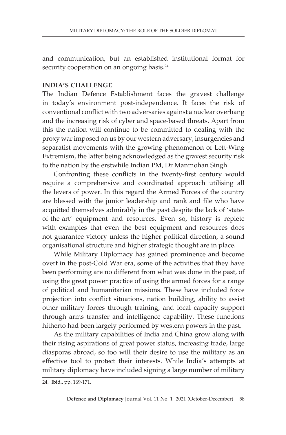and communication, but an established institutional format for security cooperation on an ongoing basis.<sup>24</sup>

#### **INDIA'S CHALLENGE**

The Indian Defence Establishment faces the gravest challenge in today's environment post-independence. It faces the risk of conventional conflict with two adversaries against a nuclear overhang and the increasing risk of cyber and space-based threats. Apart from this the nation will continue to be committed to dealing with the proxy war imposed on us by our western adversary, insurgencies and separatist movements with the growing phenomenon of Left-Wing Extremism, the latter being acknowledged as the gravest security risk to the nation by the erstwhile Indian PM, Dr Manmohan Singh.

Confronting these conflicts in the twenty-first century would require a comprehensive and coordinated approach utilising all the levers of power. In this regard the Armed Forces of the country are blessed with the junior leadership and rank and file who have acquitted themselves admirably in the past despite the lack of 'stateof-the-art' equipment and resources. Even so, history is replete with examples that even the best equipment and resources does not guarantee victory unless the higher political direction, a sound organisational structure and higher strategic thought are in place.

While Military Diplomacy has gained prominence and become overt in the post-Cold War era, some of the activities that they have been performing are no different from what was done in the past, of using the great power practice of using the armed forces for a range of political and humanitarian missions. These have included force projection into conflict situations, nation building, ability to assist other military forces through training, and local capacity support through arms transfer and intelligence capability. These functions hitherto had been largely performed by western powers in the past.

As the military capabilities of India and China grow along with their rising aspirations of great power status, increasing trade, large diasporas abroad, so too will their desire to use the military as an effective tool to protect their interests. While India's attempts at military diplomacy have included signing a large number of military

<sup>24.</sup> Ibid., pp. 169-171.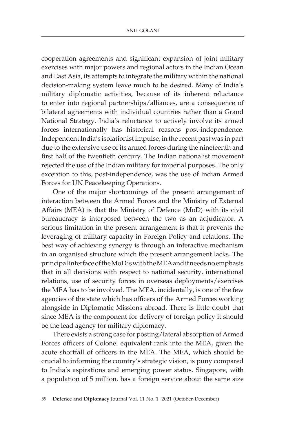cooperation agreements and significant expansion of joint military exercises with major powers and regional actors in the Indian Ocean and East Asia, its attempts to integrate the military within the national decision-making system leave much to be desired. Many of India's military diplomatic activities, because of its inherent reluctance to enter into regional partnerships/alliances, are a consequence of bilateral agreements with individual countries rather than a Grand National Strategy. India's reluctance to actively involve its armed forces internationally has historical reasons post-independence. Independent India's isolationist impulse, in the recent past was in part due to the extensive use of its armed forces during the nineteenth and first half of the twentieth century. The Indian nationalist movement rejected the use of the Indian military for imperial purposes. The only exception to this, post-independence, was the use of Indian Armed Forces for UN Peacekeeping Operations.

One of the major shortcomings of the present arrangement of interaction between the Armed Forces and the Ministry of External Affairs (MEA) is that the Ministry of Defence (MoD) with its civil bureaucracy is interposed between the two as an adjudicator. A serious limitation in the present arrangement is that it prevents the leveraging of military capacity in Foreign Policy and relations. The best way of achieving synergy is through an interactive mechanism in an organised structure which the present arrangement lacks. The principal interface of the MoD is with the MEA and it needs no emphasis that in all decisions with respect to national security, international relations, use of security forces in overseas deployments/exercises the MEA has to be involved. The MEA, incidentally, is one of the few agencies of the state which has officers of the Armed Forces working alongside in Diplomatic Missions abroad. There is little doubt that since MEA is the component for delivery of foreign policy it should be the lead agency for military diplomacy.

There exists a strong case for posting/lateral absorption of Armed Forces officers of Colonel equivalent rank into the MEA, given the acute shortfall of officers in the MEA. The MEA, which should be crucial to informing the country's strategic vision, is puny compared to India's aspirations and emerging power status. Singapore, with a population of 5 million, has a foreign service about the same size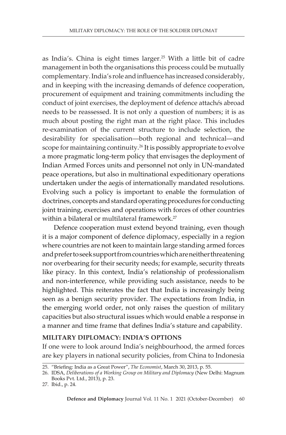as India's. China is eight times larger.25 With a little bit of cadre management in both the organisations this process could be mutually complementary.India's role and influence has increased considerably, and in keeping with the increasing demands of defence cooperation, procurement of equipment and training commitments including the conduct of joint exercises, the deployment of defence attach*é*s abroad needs to be reassessed. It is not only a question of numbers; it is as much about posting the right man at the right place. This includes re-examination of the current structure to include selection, the desirability for specialisation—both regional and technical—and scope for maintaining continuity.<sup>26</sup> It is possibly appropriate to evolve a more pragmatic long-term policy that envisages the deployment of Indian Armed Forces units and personnel not only in UN-mandated peace operations, but also in multinational expeditionary operations undertaken under the aegis of internationally mandated resolutions. Evolving such a policy is important to enable the formulation of doctrines, concepts and standard operating procedures for conducting joint training, exercises and operations with forces of other countries within a bilateral or multilateral framework.<sup>27</sup>

Defence cooperation must extend beyond training, even though it is a major component of defence diplomacy, especially in a region where countries are not keen to maintain large standing armed forces and prefer to seek support from countries which are neither threatening nor overbearing for their security needs; for example, security threats like piracy. In this context, India's relationship of professionalism and non-interference, while providing such assistance, needs to be highlighted. This reiterates the fact that India is increasingly being seen as a benign security provider. The expectations from India, in the emerging world order, not only raises the question of military capacities but also structural issues which would enable a response in a manner and time frame that defines India's stature and capability.

#### **MILITARY DIPLOMACY: INDIA'S OPTIONS**

If one were to look around India's neighbourhood, the armed forces are key players in national security policies, from China to Indonesia

<sup>25</sup>. "Briefing: India as a Great Power", *The Economist*, March 30, 2013, p. 55.

<sup>26.</sup> IDSA, *Deliberations of a Working Group on Military and Diplomacy* (New Delhi: Magnum Books Pvt. Ltd., 2013), p. 23.

<sup>27.</sup> Ibid., p. 24.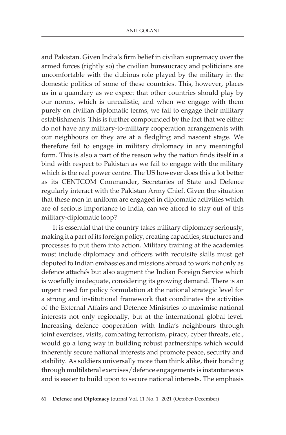and Pakistan. Given India's firm belief in civilian supremacy over the armed forces (rightly so) the civilian bureaucracy and politicians are uncomfortable with the dubious role played by the military in the domestic politics of some of these countries. This, however, places us in a quandary as we expect that other countries should play by our norms, which is unrealistic, and when we engage with them purely on civilian diplomatic terms, we fail to engage their military establishments. This is further compounded by the fact that we either do not have any military-to-military cooperation arrangements with our neighbours or they are at a fledgling and nascent stage. We therefore fail to engage in military diplomacy in any meaningful form. This is also a part of the reason why the nation finds itself in a bind with respect to Pakistan as we fail to engage with the military which is the real power centre. The US however does this a lot better as its CENTCOM Commander, Secretaries of State and Defence regularly interact with the Pakistan Army Chief. Given the situation that these men in uniform are engaged in diplomatic activities which are of serious importance to India, can we afford to stay out of this military-diplomatic loop?

It is essential that the country takes military diplomacy seriously, making it a part of its foreign policy, creating capacities, structures and processes to put them into action. Military training at the academies must include diplomacy and officers with requisite skills must get deputed to Indian embassies and missions abroad to work not only as defence attach*é*s but also augment the Indian Foreign Service which is woefully inadequate, considering its growing demand. There is an urgent need for policy formulation at the national strategic level for a strong and institutional framework that coordinates the activities of the External Affairs and Defence Ministries to maximise national interests not only regionally, but at the international global level. Increasing defence cooperation with India's neighbours through joint exercises, visits, combating terrorism, piracy, cyber threats, etc., would go a long way in building robust partnerships which would inherently secure national interests and promote peace, security and stability. As soldiers universally more than think alike, their bonding through multilateral exercises/defence engagements is instantaneous and is easier to build upon to secure national interests. The emphasis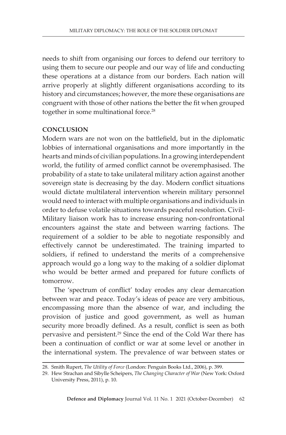needs to shift from organising our forces to defend our territory to using them to secure our people and our way of life and conducting these operations at a distance from our borders. Each nation will arrive properly at slightly different organisations according to its history and circumstances; however, the more these organisations are congruent with those of other nations the better the fit when grouped together in some multinational force.<sup>28</sup>

#### **CONCLUSION**

Modern wars are not won on the battlefield, but in the diplomatic lobbies of international organisations and more importantly in the hearts and minds of civilian populations. In a growing interdependent world, the futility of armed conflict cannot be overemphasised. The probability of a state to take unilateral military action against another sovereign state is decreasing by the day. Modern conflict situations would dictate multilateral intervention wherein military personnel would need to interact with multiple organisations and individuals in order to defuse volatile situations towards peaceful resolution. Civil-Military liaison work has to increase ensuring non-confrontational encounters against the state and between warring factions. The requirement of a soldier to be able to negotiate responsibly and effectively cannot be underestimated. The training imparted to soldiers, if refined to understand the merits of a comprehensive approach would go a long way to the making of a soldier diplomat who would be better armed and prepared for future conflicts of tomorrow.

The 'spectrum of conflict' today erodes any clear demarcation between war and peace. Today's ideas of peace are very ambitious, encompassing more than the absence of war, and including the provision of justice and good government, as well as human security more broadly defined. As a result, conflict is seen as both pervasive and persistent.29 Since the end of the Cold War there has been a continuation of conflict or war at some level or another in the international system. The prevalence of war between states or

<sup>28.</sup> Smith Rupert, *The Utility of Force* (London: Penguin Books Ltd., 2006), p. 399.

<sup>29.</sup> Hew Strachan and Sibylle Scheipers, *The Changing Character of War* (New York: Oxford University Press, 2011), p. 10.